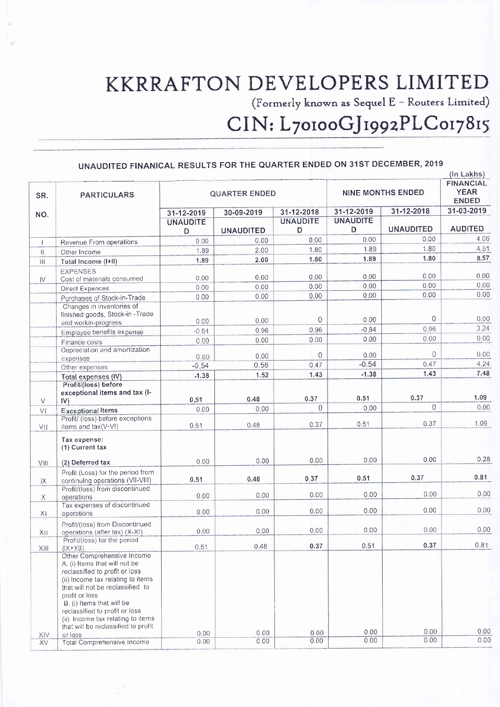# KKRRAFTON DEVELOPERS LIMITED

(Formerly known as Sequel E – Routers Limited)

## CIN: L70100GJ1992PLC017815

#### UNAUDITED FINANICAL RESULTS FOR THE QUARTER ENDED ON 31ST DECEMBER, 2019 UNAUDITED FINANICAL RESULTS FOR THE QUARTER ENDED ON 31ST DECEMBER, 2019

|                                                                                                                                                                                                                                                                                                                                                |                                                                                                                                                                                                                                                                                                                                      |                                    |                            |                                                |                                                               | (In Lakhs)                                                             |
|------------------------------------------------------------------------------------------------------------------------------------------------------------------------------------------------------------------------------------------------------------------------------------------------------------------------------------------------|--------------------------------------------------------------------------------------------------------------------------------------------------------------------------------------------------------------------------------------------------------------------------------------------------------------------------------------|------------------------------------|----------------------------|------------------------------------------------|---------------------------------------------------------------|------------------------------------------------------------------------|
| <b>PARTICULARS</b>                                                                                                                                                                                                                                                                                                                             | <b>QUARTER ENDED</b>                                                                                                                                                                                                                                                                                                                 |                                    |                            | <b>NINE MONTHS ENDED</b>                       |                                                               | <b>FINANCIAL</b><br><b>YEAR</b><br><b>ENDED</b>                        |
|                                                                                                                                                                                                                                                                                                                                                |                                                                                                                                                                                                                                                                                                                                      |                                    |                            |                                                |                                                               | 31-03-2019                                                             |
|                                                                                                                                                                                                                                                                                                                                                | <b>UNAUDITE</b><br>D.                                                                                                                                                                                                                                                                                                                | <b>UNAUDITED</b>                   | <b>UNAUDITE</b><br>D       | <b>UNAUDITE</b><br>D                           | <b>UNAUDITED</b>                                              | <b>AUDITED</b>                                                         |
|                                                                                                                                                                                                                                                                                                                                                | 0.00                                                                                                                                                                                                                                                                                                                                 | 0.00                               | 0.00                       | 0.00                                           | 0.00                                                          | 4.06                                                                   |
|                                                                                                                                                                                                                                                                                                                                                | 1.89                                                                                                                                                                                                                                                                                                                                 | 2.00                               | 1.80                       | 1.89                                           | 1.80                                                          | 4.51                                                                   |
|                                                                                                                                                                                                                                                                                                                                                | 1.89                                                                                                                                                                                                                                                                                                                                 | 2.00                               | 1.80                       | 1.89                                           | 1.80                                                          | 8.57                                                                   |
| <b>EXPENSES</b>                                                                                                                                                                                                                                                                                                                                | 0.00                                                                                                                                                                                                                                                                                                                                 | 0.00                               | 0.00                       | 0.00                                           | 0.00                                                          | 0.00                                                                   |
| Direct Expences                                                                                                                                                                                                                                                                                                                                | 0,00                                                                                                                                                                                                                                                                                                                                 | 0.00                               | 0.00                       | 0.00                                           | 0.00                                                          | 0.00                                                                   |
|                                                                                                                                                                                                                                                                                                                                                | 0.00                                                                                                                                                                                                                                                                                                                                 | 0.00                               | 0.00                       | 0,00                                           | 0.00                                                          | 0.00                                                                   |
| Changes in inventories of<br>finished goods, Stock-in - Trade                                                                                                                                                                                                                                                                                  | 0.00                                                                                                                                                                                                                                                                                                                                 | 0.00                               | $\overline{0}$             | 0.00                                           | $\overline{0}$                                                | 0.00                                                                   |
|                                                                                                                                                                                                                                                                                                                                                | $-0.84$                                                                                                                                                                                                                                                                                                                              | 0.96                               | 0.96                       | $-0.84$                                        |                                                               | 3.24                                                                   |
| Finance costs                                                                                                                                                                                                                                                                                                                                  | 0.00                                                                                                                                                                                                                                                                                                                                 | 0.00                               | 0.00                       | 0.00                                           | 0.00                                                          | 0.00                                                                   |
| Depreciation and amortization<br>expenses                                                                                                                                                                                                                                                                                                      | 0.00                                                                                                                                                                                                                                                                                                                                 | 0.00                               | 0                          | 0.00                                           | $\circ$                                                       | 0.00                                                                   |
| Other expenses                                                                                                                                                                                                                                                                                                                                 | $-0.54$                                                                                                                                                                                                                                                                                                                              | 0.56                               | 0.47                       |                                                |                                                               | 4.24                                                                   |
| Total expenses (IV)                                                                                                                                                                                                                                                                                                                            | $-1.38$                                                                                                                                                                                                                                                                                                                              | 1.52                               | 1.43                       | $-1.38$                                        | 1.43                                                          | 7.48                                                                   |
| Profit/(loss) before<br>exceptional items and tax (I-                                                                                                                                                                                                                                                                                          | 0.51                                                                                                                                                                                                                                                                                                                                 | 0.48                               | 0.37                       | 0.51                                           | 0.37                                                          | 1.09                                                                   |
| <b>Exceptional Items</b>                                                                                                                                                                                                                                                                                                                       | 0.00                                                                                                                                                                                                                                                                                                                                 | 0.00                               |                            |                                                |                                                               | 0.00                                                                   |
| Profit/ (loss) before exceptions<br>items and tax(V-VI)                                                                                                                                                                                                                                                                                        | 0.51                                                                                                                                                                                                                                                                                                                                 | 0.48                               | 0.37                       | 0.51                                           | 0.37                                                          | 1.09                                                                   |
| Tax expense:<br>(1) Current tax                                                                                                                                                                                                                                                                                                                |                                                                                                                                                                                                                                                                                                                                      |                                    |                            |                                                |                                                               |                                                                        |
| (2) Deferred tax                                                                                                                                                                                                                                                                                                                               | 0.00                                                                                                                                                                                                                                                                                                                                 | 0.00                               |                            |                                                |                                                               | 0.28                                                                   |
| Profit (Loss) for the period from<br>continuing operations (VII-VIII)                                                                                                                                                                                                                                                                          | 0.51                                                                                                                                                                                                                                                                                                                                 | 0.48                               | 0.37                       | 0.51                                           | 0.37                                                          | 0.81                                                                   |
|                                                                                                                                                                                                                                                                                                                                                |                                                                                                                                                                                                                                                                                                                                      |                                    |                            |                                                |                                                               | 0.00                                                                   |
|                                                                                                                                                                                                                                                                                                                                                |                                                                                                                                                                                                                                                                                                                                      |                                    |                            |                                                |                                                               |                                                                        |
|                                                                                                                                                                                                                                                                                                                                                | 0,00                                                                                                                                                                                                                                                                                                                                 | 0.00                               | 0.00                       | 0.00                                           | 0.00                                                          | 0.00                                                                   |
| Profit/(loss) from Discontinued                                                                                                                                                                                                                                                                                                                |                                                                                                                                                                                                                                                                                                                                      | 0.00                               | 0.00                       | 0.00                                           | 0.00                                                          | 0.00                                                                   |
| Profit/(loss) for the period                                                                                                                                                                                                                                                                                                                   |                                                                                                                                                                                                                                                                                                                                      |                                    |                            |                                                |                                                               | 0.81                                                                   |
| Other Comprehensive Income<br>A. (i) Items that will not be<br>reclassified to profit or loss<br>(ii) Income tax relating to items<br>that will not be reclassified to<br>profit or loss<br>B. (i) Items that will be<br>reclassified to profit or loss<br>(ii) Income tax relating to items<br>that will be reclassified to profit<br>or loss | 0.00                                                                                                                                                                                                                                                                                                                                 | 0.00                               | 0.00                       | 0.00                                           | 0.00                                                          | 0.00                                                                   |
| <b>Total Comprehensive Income</b>                                                                                                                                                                                                                                                                                                              | 0.00                                                                                                                                                                                                                                                                                                                                 | 0.00                               | 0.00                       |                                                |                                                               | 0.00                                                                   |
|                                                                                                                                                                                                                                                                                                                                                | Revenue From operations<br>Other Income<br>Total Income (I+II)<br>Cost of materials consumed<br>Purchases of Stock-in-Trade<br>and workin-progress<br>Employee benefits expense<br>IV)<br>Profit/(loss) from discontinued<br>operations<br>Tax expenses of discontinued<br>operations<br>operations (after tax) (X-XI)<br>$(IX+XII)$ | 31-12-2019<br>0.00<br>0.00<br>0.51 | 30-09-2019<br>0.00<br>0.48 | 31-12-2018<br>$\Omega$<br>0.00<br>0.00<br>0.37 | 31-12-2019<br>$-0.54$<br>0.00<br>0.00<br>0.00<br>0.51<br>0.00 | 31-12-2018<br>0.96<br>0,47<br>$\Omega$<br>0.00<br>0.00<br>0.37<br>0.00 |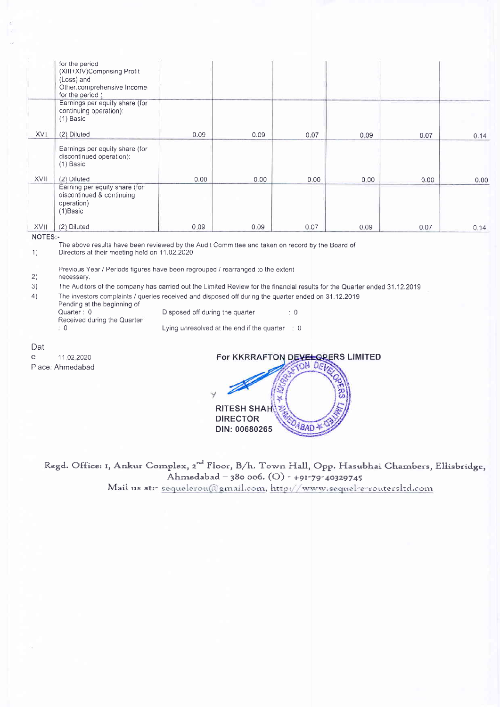|             | for the period<br>(XIII+XIV)Comprising Profit<br>(Loss) and<br>Other.comprehensive Income<br>for the period) |      |      |      |      |      |      |
|-------------|--------------------------------------------------------------------------------------------------------------|------|------|------|------|------|------|
|             | Earnings per equity share (for<br>continuing operation):<br>(1) Basic                                        |      |      |      |      |      |      |
| XVI.        | (2) Diluted                                                                                                  | 0.09 | 0.09 | 0.07 | 0.09 | 0.07 | 0.14 |
|             | Earnings per equity share (for<br>discontinued operation):<br>$(1)$ Basic                                    |      |      |      |      |      |      |
| <b>XVII</b> | (2) Diluted                                                                                                  | 0.00 | 0.00 | 0.00 | 0.00 | 0.00 | 0.00 |
|             | Earning per equity share (for<br>discontinued & continuing<br>operation)<br>(1) Basic                        |      |      |      |      |      |      |
| <b>XVII</b> | (2) Diluted                                                                                                  | 0.09 | 0.09 | 0.07 | 0.09 | 0.07 | 0.14 |

#### NOTES:- NOTES:-

The above results have been reviewed by the Audit Committee and taken on record by the Board of (1)<br>1) Directors at their meeting held on 11.02.2020

1) Directors at their meeting held on 11.02.2020

Previous Year / Periods figures have been regrouped / rearranged to the extent Previous Year / Periods figures have been regrouped / rearranged to the extent 2)

#### 2) necessary.

3) The Auditors of the company has carried out the Limited Review for the financial results for the Quarter ended 31.12.2019

4) The investors complaints / queries received and disposed off during the quarter ended on 31.12.2019

Pending at the beginning of Quarter : 0 **Disposed off during the quarter disposed of the quarter**  $\cdot$  0 Quarter : <sup>0</sup>

Received during the Quarter :0

0 **Decision Lying unresolved at the end if the quarter** : 0

Dε

e 11 02.2020 e 1 1 <sup>022020</sup> Place: Ahmedabad



Regd. Office: 1, Ankur Complex, 2<sup>nd</sup> Floor, B/h. Town Hall, Opp. Hasubhai Chambers, Ellisbridge, Ahmedabad - 380 006. (O) - +91-79-40329745 Mail us atr- <u>sequelerou(@gmail.com, http://www</u>.sequel-e-routersltd.con